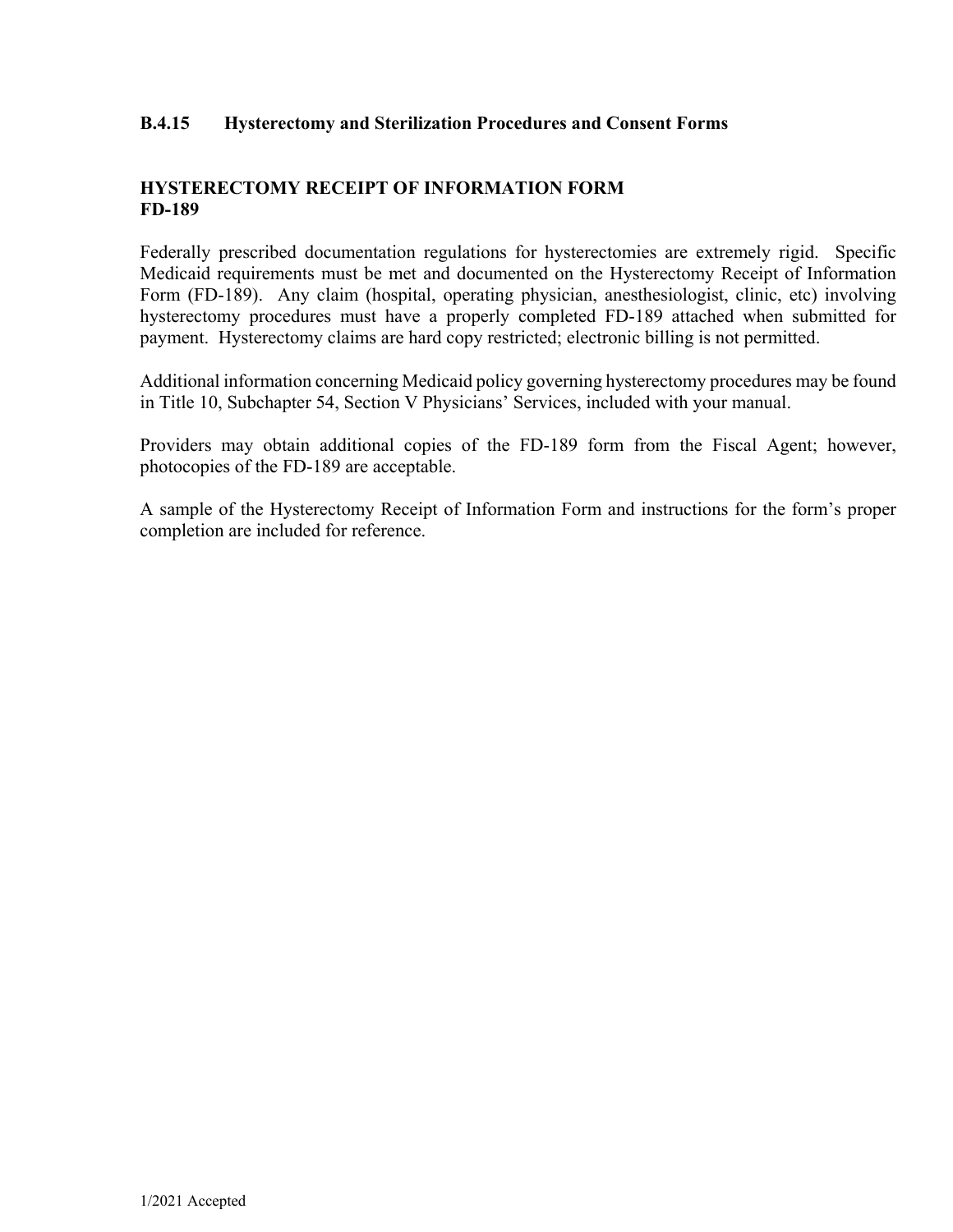### **B.4.15 Hysterectomy and Sterilization Procedures and Consent Forms**

# **HYSTERECTOMY RECEIPT OF INFORMATION FORM FD-189**

Federally prescribed documentation regulations for hysterectomies are extremely rigid. Specific Medicaid requirements must be met and documented on the Hysterectomy Receipt of Information Form (FD-189). Any claim (hospital, operating physician, anesthesiologist, clinic, etc) involving hysterectomy procedures must have a properly completed FD-189 attached when submitted for payment. Hysterectomy claims are hard copy restricted; electronic billing is not permitted.

Additional information concerning Medicaid policy governing hysterectomy procedures may be found in Title 10, Subchapter 54, Section V Physicians' Services, included with your manual.

Providers may obtain additional copies of the FD-189 form from the Fiscal Agent; however, photocopies of the FD-189 are acceptable.

A sample of the Hysterectomy Receipt of Information Form and instructions for the form's proper completion are included for reference.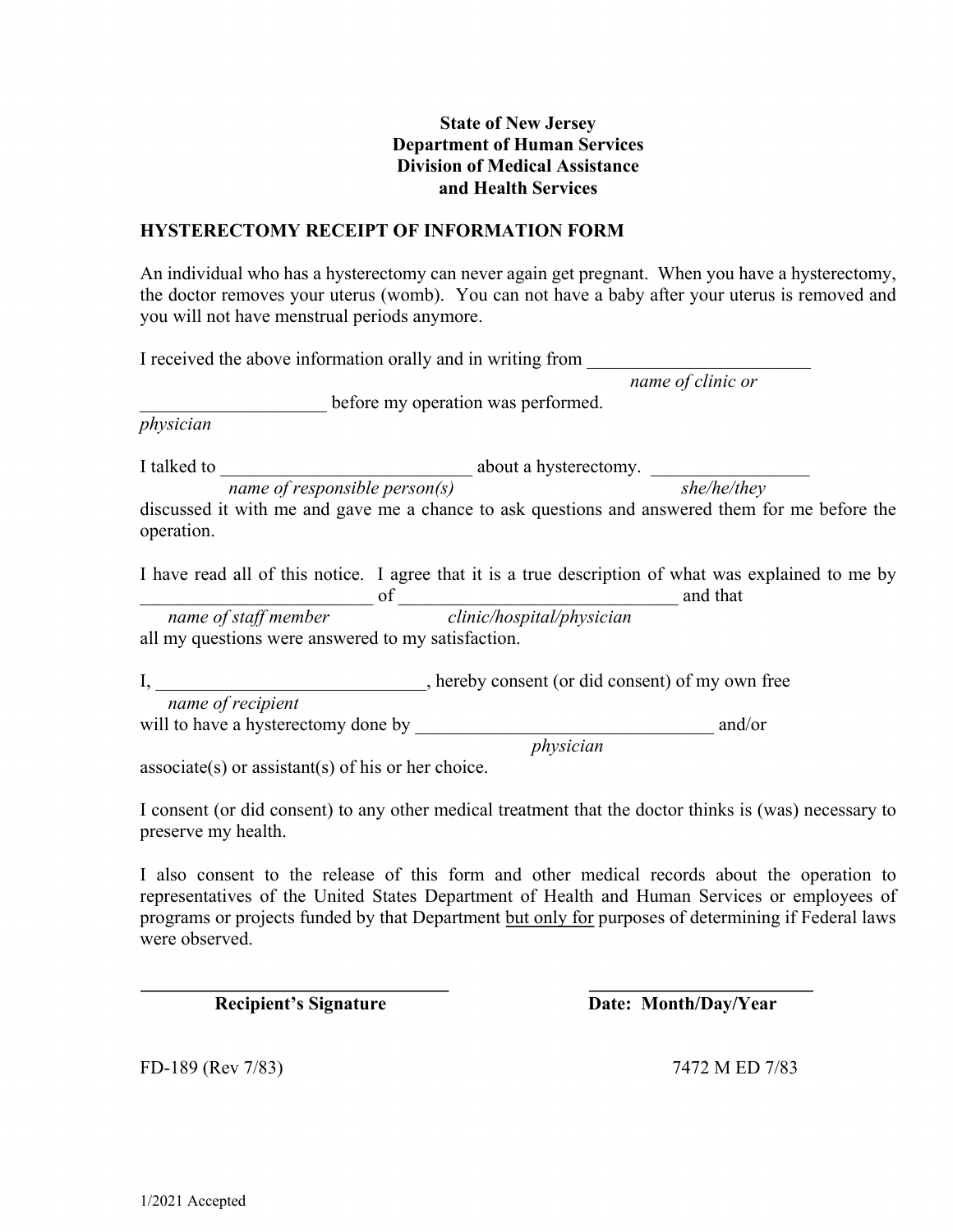### **State of New Jersey Department of Human Services Division of Medical Assistance and Health Services**

### **HYSTERECTOMY RECEIPT OF INFORMATION FORM**

An individual who has a hysterectomy can never again get pregnant. When you have a hysterectomy, the doctor removes your uterus (womb). You can not have a baby after your uterus is removed and you will not have menstrual periods anymore.

| I received the above information orally and in writing from |                                                                                                      |                   |
|-------------------------------------------------------------|------------------------------------------------------------------------------------------------------|-------------------|
|                                                             |                                                                                                      | name of clinic or |
|                                                             | before my operation was performed.                                                                   |                   |
| physician                                                   |                                                                                                      |                   |
| I talked to                                                 | about a hysterectomy.                                                                                |                   |
| name of responsible $person(s)$                             |                                                                                                      | she/he/they       |
| operation.                                                  | discussed it with me and gave me a chance to ask questions and answered them for me before the       |                   |
|                                                             | I have read all of this notice. I agree that it is a true description of what was explained to me by | and that          |
|                                                             | name of staff member of clinic/hospital/physician                                                    |                   |
| all my questions were answered to my satisfaction.          |                                                                                                      |                   |
| $\mathbf{I},$                                               | , hereby consent (or did consent) of my own free                                                     |                   |
| name of recipient                                           |                                                                                                      |                   |
| will to have a hysterectomy done by                         |                                                                                                      | and/or            |
|                                                             | physician                                                                                            |                   |
| $\text{associate}(s)$ or assistant(s) of his or her choice. |                                                                                                      |                   |

I consent (or did consent) to any other medical treatment that the doctor thinks is (was) necessary to preserve my health.

I also consent to the release of this form and other medical records about the operation to representatives of the United States Department of Health and Human Services or employees of programs or projects funded by that Department but only for purposes of determining if Federal laws were observed.

**Recipient's Signature Date: Month/Day/Year** 

FD-189 (Rev 7/83) 7472 M ED 7/83

 $\overline{a}$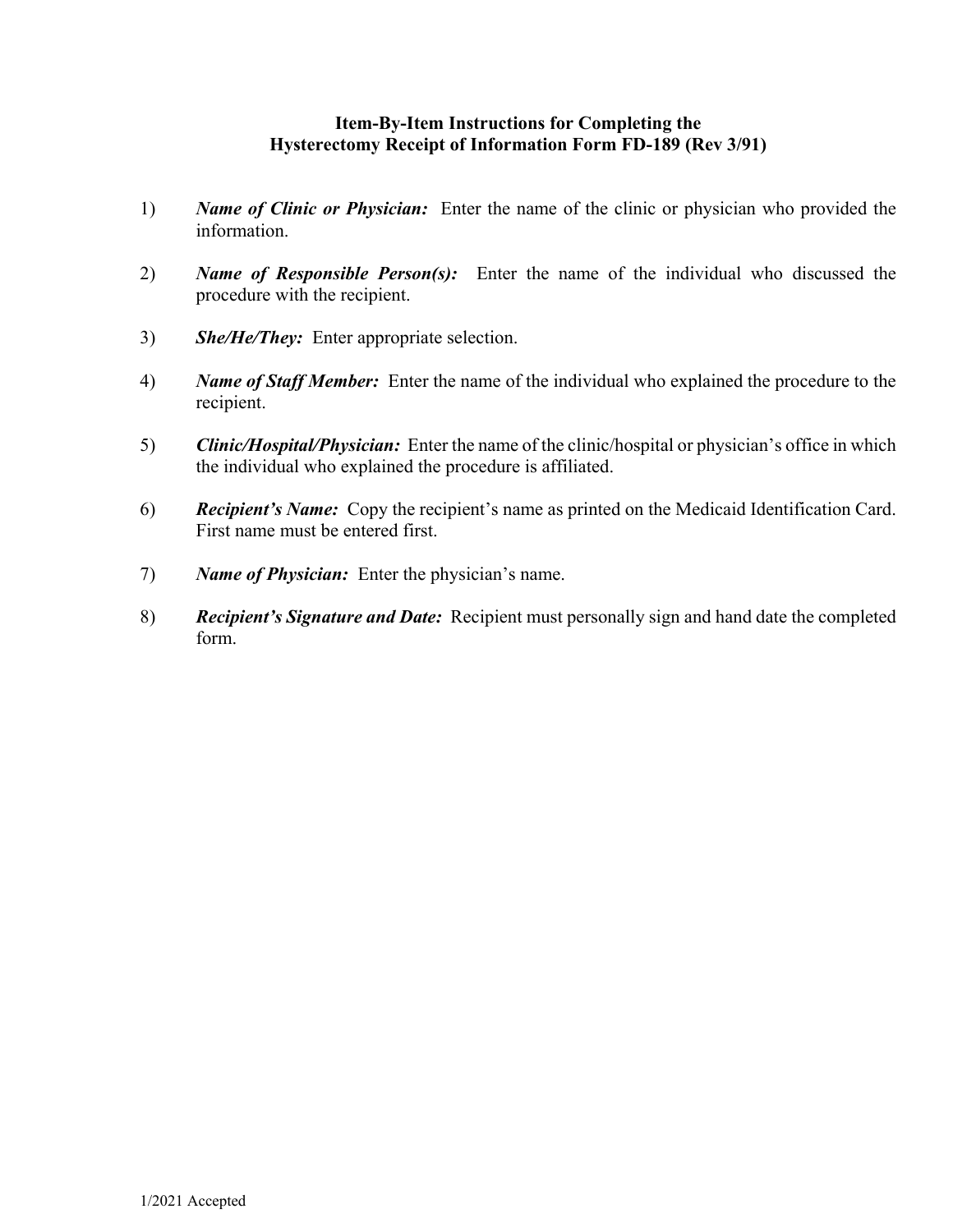### **Item-By-Item Instructions for Completing the Hysterectomy Receipt of Information Form FD-189 (Rev 3/91)**

- 1) *Name of Clinic or Physician:* Enter the name of the clinic or physician who provided the information.
- 2) *Name of Responsible Person(s):* Enter the name of the individual who discussed the procedure with the recipient.
- 3) *She/He/They:* Enter appropriate selection.
- 4) *Name of Staff Member:* Enter the name of the individual who explained the procedure to the recipient.
- 5) *Clinic/Hospital/Physician:* Enter the name of the clinic/hospital or physician's office in which the individual who explained the procedure is affiliated.
- 6) *Recipient's Name:* Copy the recipient's name as printed on the Medicaid Identification Card. First name must be entered first.
- 7) *Name of Physician:* Enter the physician's name.
- 8) *Recipient's Signature and Date:* Recipient must personally sign and hand date the completed form.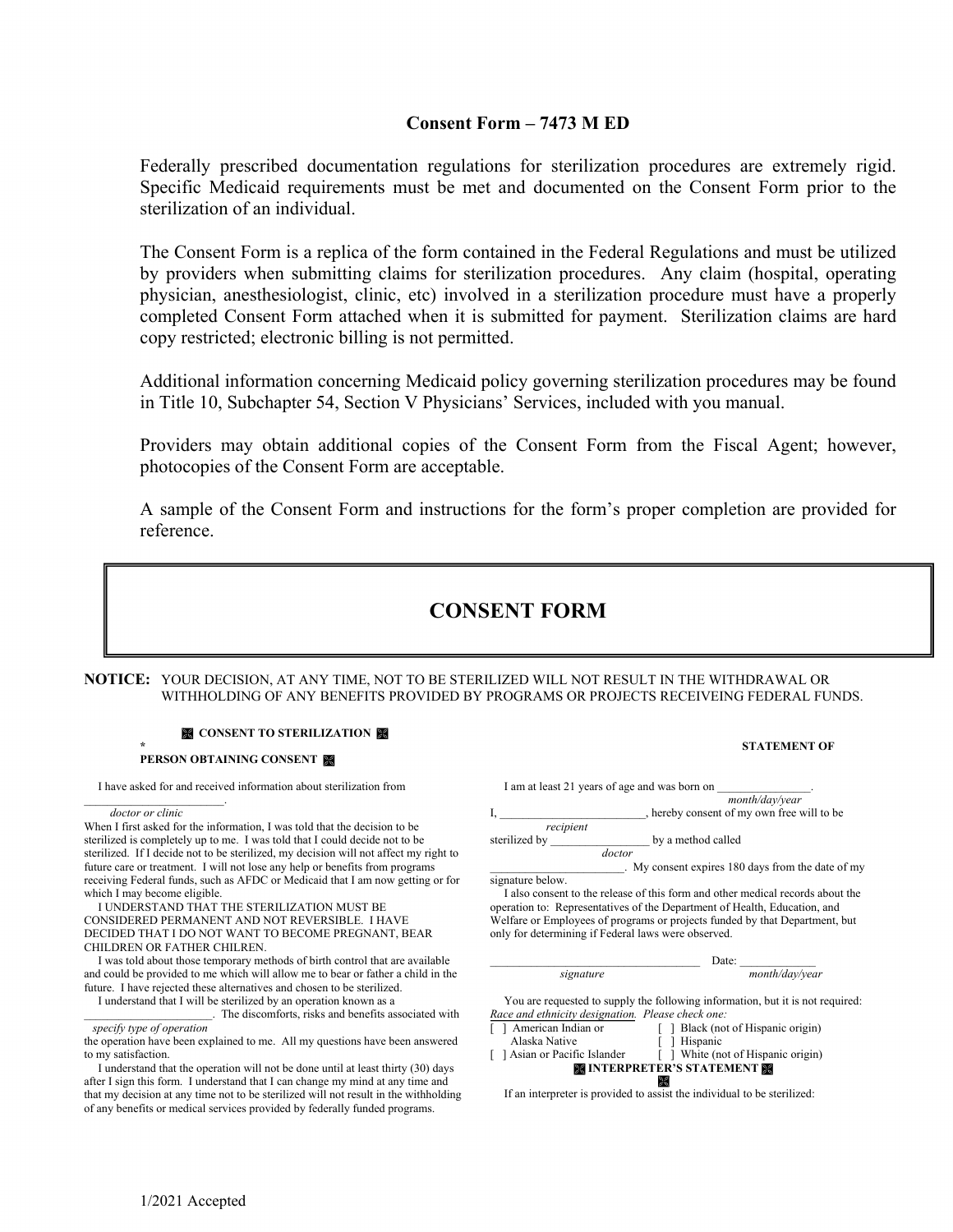### **Consent Form – 7473 M ED**

Federally prescribed documentation regulations for sterilization procedures are extremely rigid. Specific Medicaid requirements must be met and documented on the Consent Form prior to the sterilization of an individual.

The Consent Form is a replica of the form contained in the Federal Regulations and must be utilized by providers when submitting claims for sterilization procedures. Any claim (hospital, operating physician, anesthesiologist, clinic, etc) involved in a sterilization procedure must have a properly completed Consent Form attached when it is submitted for payment. Sterilization claims are hard copy restricted; electronic billing is not permitted.

Additional information concerning Medicaid policy governing sterilization procedures may be found in Title 10, Subchapter 54, Section V Physicians' Services, included with you manual.

Providers may obtain additional copies of the Consent Form from the Fiscal Agent; however, photocopies of the Consent Form are acceptable.

A sample of the Consent Form and instructions for the form's proper completion are provided for reference.

# **CONSENT FORM**

**NOTICE:** YOUR DECISION, AT ANY TIME, NOT TO BE STERILIZED WILL NOT RESULT IN THE WITHDRAWAL OR WITHHOLDING OF ANY BENEFITS PROVIDED BY PROGRAMS OR PROJECTS RECEIVEING FEDERAL FUNDS.



#### **\* STATEMENT OF PERSON OBTAINING CONSENT**

I have asked for and received information about sterilization from

\_\_\_\_\_\_\_\_\_\_\_\_\_\_\_\_\_\_\_\_\_\_\_\_. *doctor or clinic*

When I first asked for the information, I was told that the decision to be sterilized is completely up to me. I was told that I could decide not to be sterilized. If I decide not to be sterilized, my decision will not affect my right to future care or treatment. I will not lose any help or benefits from programs receiving Federal funds, such as AFDC or Medicaid that I am now getting or for which I may become eligible.

 I UNDERSTAND THAT THE STERILIZATION MUST BE CONSIDERED PERMANENT AND NOT REVERSIBLE. I HAVE DECIDED THAT I DO NOT WANT TO BECOME PREGNANT, BEAR CHILDREN OR FATHER CHILREN.

 I was told about those temporary methods of birth control that are available and could be provided to me which will allow me to bear or father a child in the future. I have rejected these alternatives and chosen to be sterilized.

I understand that I will be sterilized by an operation known as a

|               | I am at least 21 years of age and was born on     |  |
|---------------|---------------------------------------------------|--|
|               | month/day/year                                    |  |
|               | , hereby consent of my own free will to be        |  |
| recipient     |                                                   |  |
| sterilized by | by a method called                                |  |
|               | doctor                                            |  |
|               | . My consent expires 180 days from the date of my |  |

signature below. I also consent to the release of this form and other medical records about the operation to: Representatives of the Department of Health, Education, and Welfare or Employees of programs or projects funded by that Department, but only for determining if Federal laws were observed.

|           | Date: |                |
|-----------|-------|----------------|
| signature |       | month/day/year |

 You are requested to supply the following information, but it is not required: *Race and ethnicity designation. Please check one:* 

| [ ] American Indian or | [ ] Black (not of Hispanic origin)            |
|------------------------|-----------------------------------------------|
| Alaska Native          | [ ] Hispanic                                  |
|                        | $\mathbf{r}$ a vertical contract $\mathbf{r}$ |

[ ] Asian or Pacific Islander [ ] White (not of Hispanic origin) **INTERPRETER'S STATEMENT** 

**If an interpreter is provided to assist the individual to be sterilized:** 

The discomforts, risks and benefits associated with  *specify type of operation* 

the operation have been explained to me. All my questions have been answered to my satisfaction.

I understand that the operation will not be done until at least thirty (30) days after I sign this form. I understand that I can change my mind at any time and that my decision at any time not to be sterilized will not result in the withholding of any benefits or medical services provided by federally funded programs.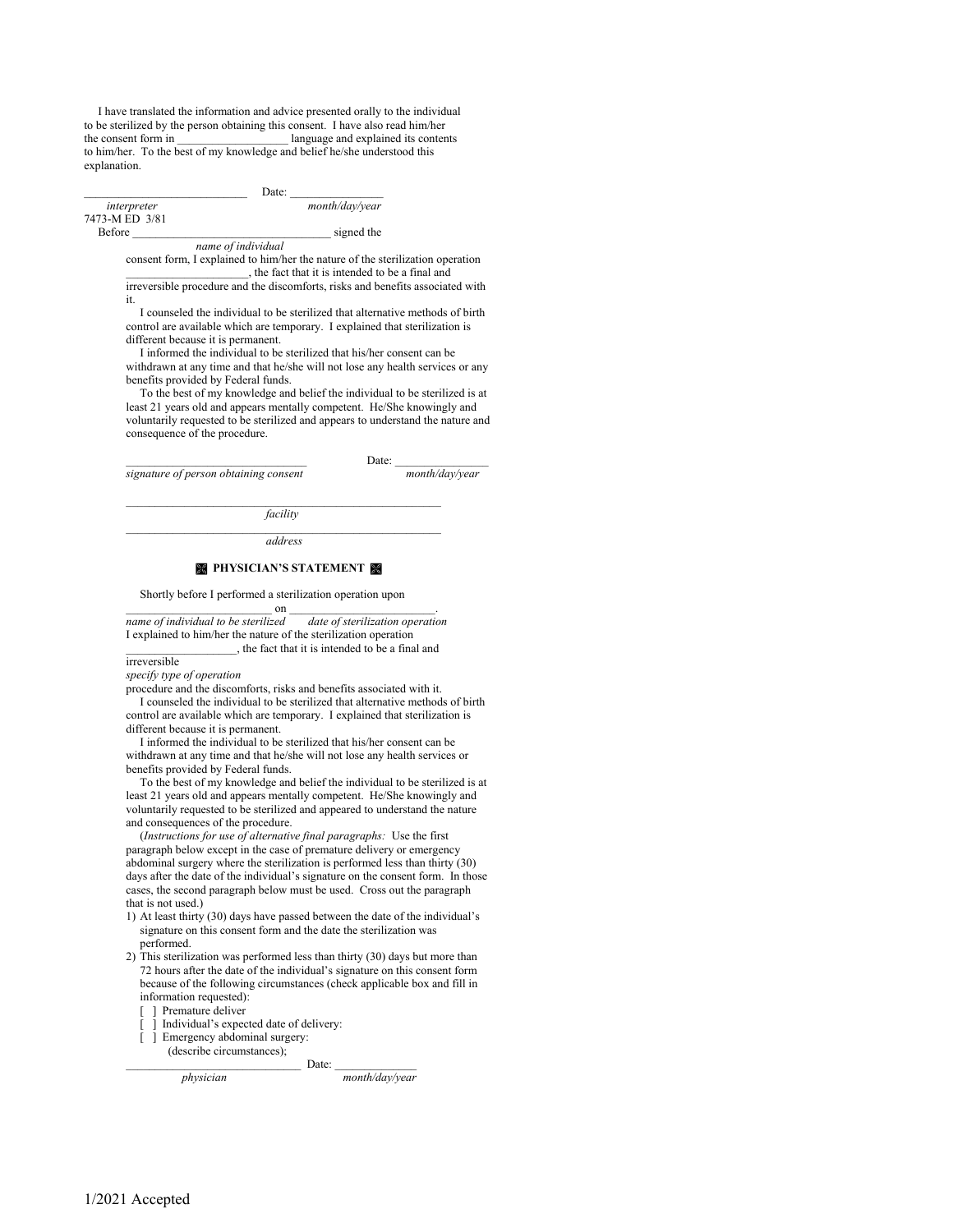I have translated the information and advice presented orally to the individual to be sterilized by the person obtaining this consent. I have also read him/her the consent form in **language and explained its contents** to him/her. To the best of my knowledge and belief he/she understood this explanation.

 $\Box$  Date:  $\Box$ 

 *interpreter month/day/year*  7473-M ED 3/81

Before \_\_\_\_\_\_\_\_\_\_\_\_\_\_\_\_\_\_\_\_\_\_\_\_\_\_\_\_\_\_\_\_\_\_ signed the

 *name of individual*  consent form, I explained to him/her the nature of the sterilization operation , the fact that it is intended to be a final and

irreversible procedure and the discomforts, risks and benefits associated with it.

 I counseled the individual to be sterilized that alternative methods of birth control are available which are temporary. I explained that sterilization is different because it is permanent.

I informed the individual to be sterilized that his/her consent can be

withdrawn at any time and that he/she will not lose any health services or any benefits provided by Federal funds.

 To the best of my knowledge and belief the individual to be sterilized is at least 21 years old and appears mentally competent. He/She knowingly and voluntarily requested to be sterilized and appears to understand the nature and consequence of the procedure.

 $\Box$  Date:  $\Box$ *signature of person obtaining consent month/day/year*

 $\mathcal{L}_\text{max}$  and  $\mathcal{L}_\text{max}$  and  $\mathcal{L}_\text{max}$  and  $\mathcal{L}_\text{max}$  and  $\mathcal{L}_\text{max}$  *facility*   $\mathcal{L}_\text{max}$  and  $\mathcal{L}_\text{max}$  and  $\mathcal{L}_\text{max}$  and  $\mathcal{L}_\text{max}$  and  $\mathcal{L}_\text{max}$ 

*address*

#### *<b> PHYSICIAN'S STATEMENT*

#### Shortly before I performed a sterilization operation upon

 $\hspace{1.5cm}$  on  $\hspace{1.5cm}$  . *name of individual to be sterilized date of sterilization operation* I explained to him/her the nature of the sterilization operation

\_\_\_\_\_\_\_\_\_\_\_\_\_\_\_\_\_\_\_, the fact that it is intended to be a final and irreversible

*specify type of operation* 

procedure and the discomforts, risks and benefits associated with it.

 I counseled the individual to be sterilized that alternative methods of birth control are available which are temporary. I explained that sterilization is different because it is permanent.

 I informed the individual to be sterilized that his/her consent can be withdrawn at any time and that he/she will not lose any health services or benefits provided by Federal funds.

 To the best of my knowledge and belief the individual to be sterilized is at least 21 years old and appears mentally competent. He/She knowingly and voluntarily requested to be sterilized and appeared to understand the nature and consequences of the procedure.

 (*Instructions for use of alternative final paragraphs:* Use the first paragraph below except in the case of premature delivery or emergency abdominal surgery where the sterilization is performed less than thirty (30) days after the date of the individual's signature on the consent form. In those cases, the second paragraph below must be used. Cross out the paragraph that is not used.)

- 1) At least thirty (30) days have passed between the date of the individual's signature on this consent form and the date the sterilization was performed.
- 2) This sterilization was performed less than thirty (30) days but more than 72 hours after the date of the individual's signature on this consent form because of the following circumstances (check applicable box and fill in information requested):
	- [ ] Premature deliver
	- [ ] Individual's expected date of delivery:
	- [ ] Emergency abdominal surgery:
	- (describe circumstances);

 $Date:$ 

 *physician month/day/year*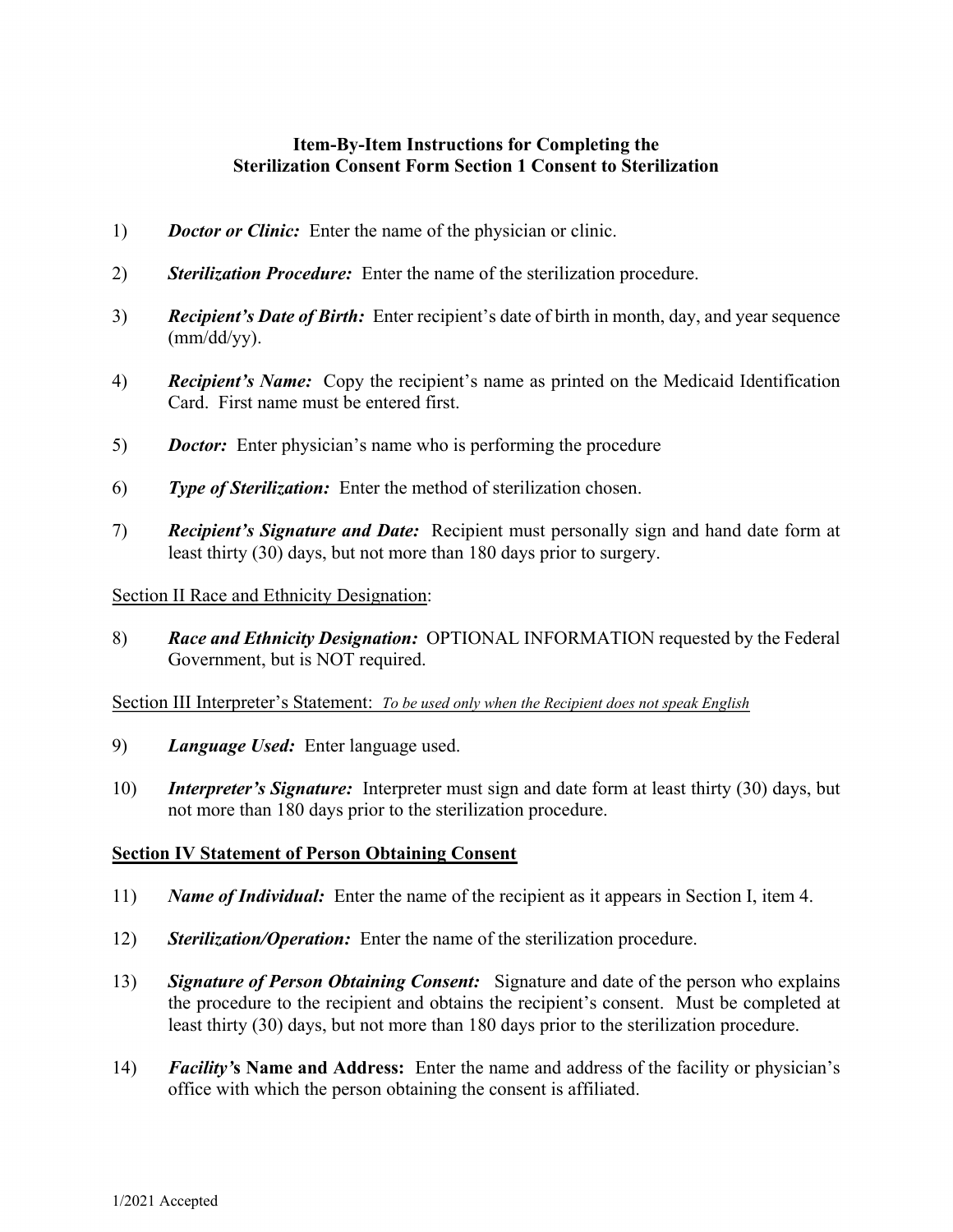# **Item-By-Item Instructions for Completing the Sterilization Consent Form Section 1 Consent to Sterilization**

- 1) *Doctor or Clinic:* Enter the name of the physician or clinic.
- 2) *Sterilization Procedure:* Enter the name of the sterilization procedure.
- 3) *Recipient's Date of Birth:* Enter recipient's date of birth in month, day, and year sequence (mm/dd/yy).
- 4) *Recipient's Name:* Copy the recipient's name as printed on the Medicaid Identification Card. First name must be entered first.
- 5) *Doctor:* Enter physician's name who is performing the procedure
- 6) *Type of Sterilization:* Enter the method of sterilization chosen.
- 7) *Recipient's Signature and Date:* Recipient must personally sign and hand date form at least thirty (30) days, but not more than 180 days prior to surgery.

# Section II Race and Ethnicity Designation:

8) *Race and Ethnicity Designation:* OPTIONAL INFORMATION requested by the Federal Government, but is NOT required.

### Section III Interpreter's Statement: *To be used only when the Recipient does not speak English*

- 9) *Language Used:* Enter language used.
- 10) *Interpreter's Signature:* Interpreter must sign and date form at least thirty (30) days, but not more than 180 days prior to the sterilization procedure.

# **Section IV Statement of Person Obtaining Consent**

- 11) *Name of Individual:* Enter the name of the recipient as it appears in Section I, item 4.
- 12) *Sterilization/Operation:*Enter the name of the sterilization procedure.
- 13) *Signature of Person Obtaining Consent:*Signature and date of the person who explains the procedure to the recipient and obtains the recipient's consent. Must be completed at least thirty (30) days, but not more than 180 days prior to the sterilization procedure.
- 14) *Facility'***s Name and Address:** Enter the name and address of the facility or physician's office with which the person obtaining the consent is affiliated.